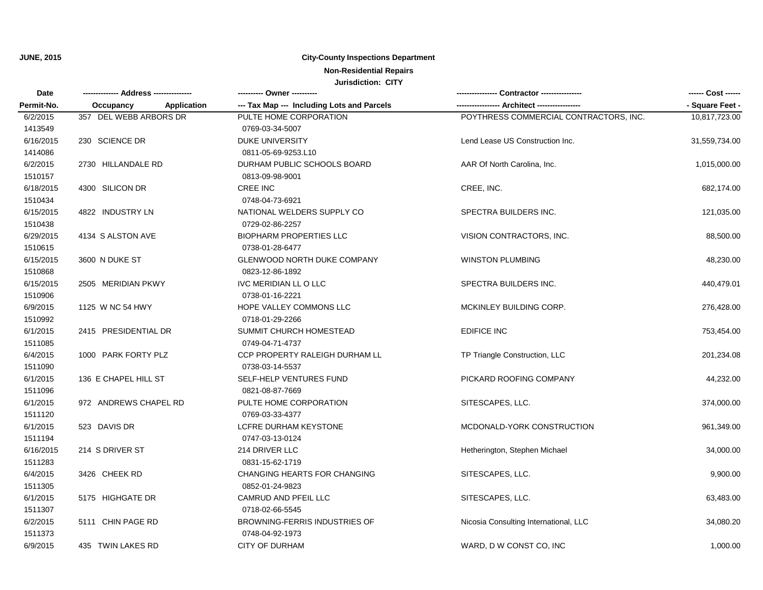### **City-County Inspections Department**

# **Non-Residential Repairs**

| Date       |                          | ---------- Owner ----------                |                                        | ------ Cost ------ |
|------------|--------------------------|--------------------------------------------|----------------------------------------|--------------------|
| Permit-No. | Application<br>Occupancy | --- Tax Map --- Including Lots and Parcels |                                        | - Square Feet -    |
| 6/2/2015   | 357 DEL WEBB ARBORS DR   | PULTE HOME CORPORATION                     | POYTHRESS COMMERCIAL CONTRACTORS, INC. | 10,817,723.00      |
| 1413549    |                          | 0769-03-34-5007                            |                                        |                    |
| 6/16/2015  | 230 SCIENCE DR           | <b>DUKE UNIVERSITY</b>                     | Lend Lease US Construction Inc.        | 31,559,734.00      |
| 1414086    |                          | 0811-05-69-9253.L10                        |                                        |                    |
| 6/2/2015   | 2730 HILLANDALE RD       | DURHAM PUBLIC SCHOOLS BOARD                | AAR Of North Carolina, Inc.            | 1,015,000.00       |
| 1510157    |                          | 0813-09-98-9001                            |                                        |                    |
| 6/18/2015  | 4300 SILICON DR          | CREE INC                                   | CREE, INC.                             | 682,174.00         |
| 1510434    |                          | 0748-04-73-6921                            |                                        |                    |
| 6/15/2015  | 4822 INDUSTRY LN         | NATIONAL WELDERS SUPPLY CO                 | SPECTRA BUILDERS INC.                  | 121,035.00         |
| 1510438    |                          | 0729-02-86-2257                            |                                        |                    |
| 6/29/2015  | 4134 S ALSTON AVE        | <b>BIOPHARM PROPERTIES LLC</b>             | VISION CONTRACTORS, INC.               | 88,500.00          |
| 1510615    |                          | 0738-01-28-6477                            |                                        |                    |
| 6/15/2015  | 3600 N DUKE ST           | <b>GLENWOOD NORTH DUKE COMPANY</b>         | <b>WINSTON PLUMBING</b>                | 48,230.00          |
| 1510868    |                          | 0823-12-86-1892                            |                                        |                    |
| 6/15/2015  | 2505 MERIDIAN PKWY       | IVC MERIDIAN LL O LLC                      | SPECTRA BUILDERS INC.                  | 440,479.01         |
| 1510906    |                          | 0738-01-16-2221                            |                                        |                    |
| 6/9/2015   | 1125 W NC 54 HWY         | HOPE VALLEY COMMONS LLC                    | MCKINLEY BUILDING CORP.                | 276,428.00         |
| 1510992    |                          | 0718-01-29-2266                            |                                        |                    |
| 6/1/2015   | 2415 PRESIDENTIAL DR     | SUMMIT CHURCH HOMESTEAD                    | <b>EDIFICE INC</b>                     | 753,454.00         |
| 1511085    |                          | 0749-04-71-4737                            |                                        |                    |
| 6/4/2015   | 1000 PARK FORTY PLZ      | CCP PROPERTY RALEIGH DURHAM LL             | TP Triangle Construction, LLC          | 201,234.08         |
| 1511090    |                          | 0738-03-14-5537                            |                                        |                    |
| 6/1/2015   | 136 E CHAPEL HILL ST     | SELF-HELP VENTURES FUND                    | PICKARD ROOFING COMPANY                | 44,232.00          |
| 1511096    |                          | 0821-08-87-7669                            |                                        |                    |
| 6/1/2015   | 972 ANDREWS CHAPEL RD    | PULTE HOME CORPORATION                     | SITESCAPES, LLC.                       | 374,000.00         |
| 1511120    |                          | 0769-03-33-4377                            |                                        |                    |
| 6/1/2015   | 523 DAVIS DR             | LCFRE DURHAM KEYSTONE                      | MCDONALD-YORK CONSTRUCTION             | 961,349.00         |
| 1511194    |                          | 0747-03-13-0124                            |                                        |                    |
| 6/16/2015  | 214 S DRIVER ST          | 214 DRIVER LLC                             | Hetherington, Stephen Michael          | 34,000.00          |
| 1511283    |                          | 0831-15-62-1719                            |                                        |                    |
| 6/4/2015   | 3426 CHEEK RD            | <b>CHANGING HEARTS FOR CHANGING</b>        | SITESCAPES, LLC.                       | 9,900.00           |
| 1511305    |                          | 0852-01-24-9823                            |                                        |                    |
| 6/1/2015   | 5175 HIGHGATE DR         | CAMRUD AND PFEIL LLC                       | SITESCAPES, LLC.                       | 63,483.00          |
| 1511307    |                          | 0718-02-66-5545                            |                                        |                    |
| 6/2/2015   | 5111 CHIN PAGE RD        | <b>BROWNING-FERRIS INDUSTRIES OF</b>       | Nicosia Consulting International, LLC  | 34,080.20          |
| 1511373    |                          | 0748-04-92-1973                            |                                        |                    |
| 6/9/2015   | 435 TWIN LAKES RD        | <b>CITY OF DURHAM</b>                      | WARD, D W CONST CO, INC                | 1,000.00           |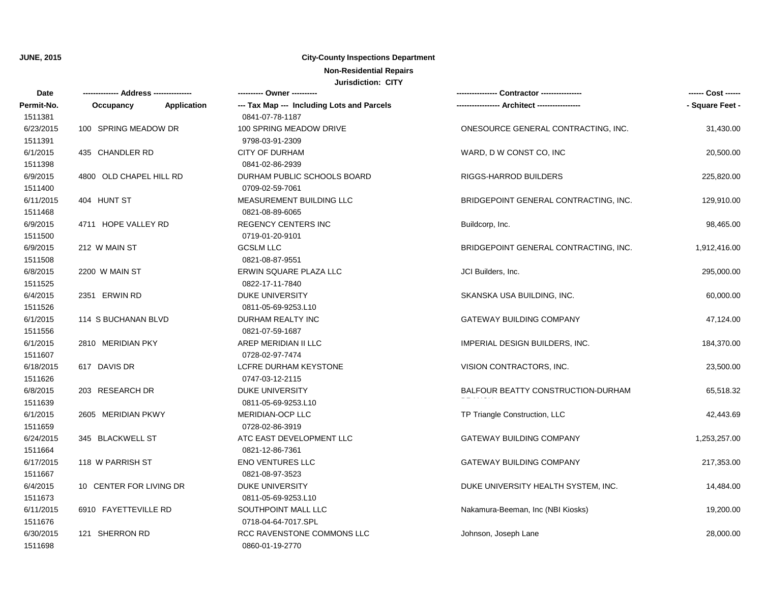## **City-County Inspections Department**

## **Non-Residential Repairs**

| Date       |                         |             | ---------- Owner ----------                |                                       | ------ Cost ------ |
|------------|-------------------------|-------------|--------------------------------------------|---------------------------------------|--------------------|
| Permit-No. | Occupancy               | Application | --- Tax Map --- Including Lots and Parcels |                                       | - Square Feet -    |
| 1511381    |                         |             | 0841-07-78-1187                            |                                       |                    |
| 6/23/2015  | 100 SPRING MEADOW DR    |             | 100 SPRING MEADOW DRIVE                    | ONESOURCE GENERAL CONTRACTING, INC.   | 31,430.00          |
| 1511391    |                         |             | 9798-03-91-2309                            |                                       |                    |
| 6/1/2015   | 435 CHANDLER RD         |             | <b>CITY OF DURHAM</b>                      | WARD, D W CONST CO, INC               | 20,500.00          |
| 1511398    |                         |             | 0841-02-86-2939                            |                                       |                    |
| 6/9/2015   | 4800 OLD CHAPEL HILL RD |             | DURHAM PUBLIC SCHOOLS BOARD                | RIGGS-HARROD BUILDERS                 | 225,820.00         |
| 1511400    |                         |             | 0709-02-59-7061                            |                                       |                    |
| 6/11/2015  | 404 HUNT ST             |             | MEASUREMENT BUILDING LLC                   | BRIDGEPOINT GENERAL CONTRACTING, INC. | 129,910.00         |
| 1511468    |                         |             | 0821-08-89-6065                            |                                       |                    |
| 6/9/2015   | 4711 HOPE VALLEY RD     |             | <b>REGENCY CENTERS INC</b>                 | Buildcorp, Inc.                       | 98,465.00          |
| 1511500    |                         |             | 0719-01-20-9101                            |                                       |                    |
| 6/9/2015   | 212 W MAIN ST           |             | <b>GCSLM LLC</b>                           | BRIDGEPOINT GENERAL CONTRACTING, INC. | 1,912,416.00       |
| 1511508    |                         |             | 0821-08-87-9551                            |                                       |                    |
| 6/8/2015   | 2200 W MAIN ST          |             | ERWIN SQUARE PLAZA LLC                     | JCI Builders, Inc.                    | 295,000.00         |
| 1511525    |                         |             | 0822-17-11-7840                            |                                       |                    |
| 6/4/2015   | 2351 ERWIN RD           |             | <b>DUKE UNIVERSITY</b>                     | SKANSKA USA BUILDING, INC.            | 60,000.00          |
| 1511526    |                         |             | 0811-05-69-9253.L10                        |                                       |                    |
| 6/1/2015   | 114 S BUCHANAN BLVD     |             | DURHAM REALTY INC                          | <b>GATEWAY BUILDING COMPANY</b>       | 47,124.00          |
| 1511556    |                         |             | 0821-07-59-1687                            |                                       |                    |
| 6/1/2015   | 2810 MERIDIAN PKY       |             | AREP MERIDIAN II LLC                       | IMPERIAL DESIGN BUILDERS, INC.        | 184,370.00         |
| 1511607    |                         |             | 0728-02-97-7474                            |                                       |                    |
| 6/18/2015  | 617 DAVIS DR            |             | LCFRE DURHAM KEYSTONE                      | VISION CONTRACTORS, INC.              | 23,500.00          |
| 1511626    |                         |             | 0747-03-12-2115                            |                                       |                    |
| 6/8/2015   | 203 RESEARCH DR         |             | <b>DUKE UNIVERSITY</b>                     | BALFOUR BEATTY CONSTRUCTION-DURHAM    | 65,518.32          |
| 1511639    |                         |             | 0811-05-69-9253.L10                        |                                       |                    |
| 6/1/2015   | 2605 MERIDIAN PKWY      |             | MERIDIAN-OCP LLC                           | TP Triangle Construction, LLC         | 42,443.69          |
| 1511659    |                         |             | 0728-02-86-3919                            |                                       |                    |
| 6/24/2015  | 345 BLACKWELL ST        |             | ATC EAST DEVELOPMENT LLC                   | <b>GATEWAY BUILDING COMPANY</b>       | 1,253,257.00       |
| 1511664    |                         |             | 0821-12-86-7361                            |                                       |                    |
| 6/17/2015  | 118 W PARRISH ST        |             | ENO VENTURES LLC                           | GATEWAY BUILDING COMPANY              | 217,353.00         |
| 1511667    |                         |             | 0821-08-97-3523                            |                                       |                    |
| 6/4/2015   | 10 CENTER FOR LIVING DR |             | <b>DUKE UNIVERSITY</b>                     | DUKE UNIVERSITY HEALTH SYSTEM, INC.   | 14,484.00          |
| 1511673    |                         |             | 0811-05-69-9253.L10                        |                                       |                    |
| 6/11/2015  | 6910 FAYETTEVILLE RD    |             | SOUTHPOINT MALL LLC                        | Nakamura-Beeman, Inc (NBI Kiosks)     | 19,200.00          |
| 1511676    |                         |             | 0718-04-64-7017.SPL                        |                                       |                    |
| 6/30/2015  | 121 SHERRON RD          |             | RCC RAVENSTONE COMMONS LLC                 | Johnson, Joseph Lane                  | 28,000.00          |
| 1511698    |                         |             | 0860-01-19-2770                            |                                       |                    |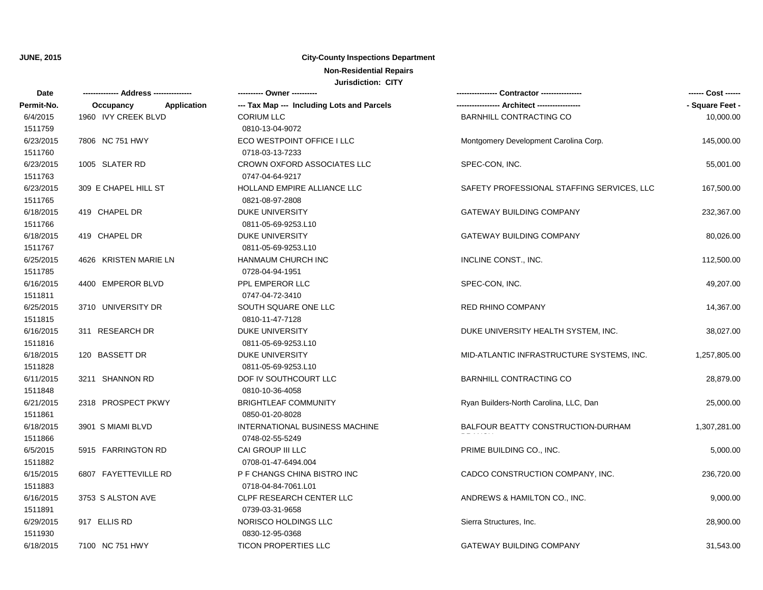#### **City-County Inspections Department**

### **Non-Residential Repairs**

| <b>Date</b> | -------------- Address -------------- | ---------- Owner ----------                |                                            | ------ Cost ------ |
|-------------|---------------------------------------|--------------------------------------------|--------------------------------------------|--------------------|
| Permit-No.  | Occupancy<br>Application              | --- Tax Map --- Including Lots and Parcels |                                            | - Square Feet -    |
| 6/4/2015    | 1960 IVY CREEK BLVD                   | <b>CORIUM LLC</b>                          | BARNHILL CONTRACTING CO                    | 10,000.00          |
| 1511759     |                                       | 0810-13-04-9072                            |                                            |                    |
| 6/23/2015   | 7806 NC 751 HWY                       | ECO WESTPOINT OFFICE I LLC                 | Montgomery Development Carolina Corp.      | 145,000.00         |
| 1511760     |                                       | 0718-03-13-7233                            |                                            |                    |
| 6/23/2015   | 1005 SLATER RD                        | CROWN OXFORD ASSOCIATES LLC                | SPEC-CON, INC.                             | 55,001.00          |
| 1511763     |                                       | 0747-04-64-9217                            |                                            |                    |
| 6/23/2015   | 309 E CHAPEL HILL ST                  | HOLLAND EMPIRE ALLIANCE LLC                | SAFETY PROFESSIONAL STAFFING SERVICES, LLC | 167,500.00         |
| 1511765     |                                       | 0821-08-97-2808                            |                                            |                    |
| 6/18/2015   | 419 CHAPEL DR                         | <b>DUKE UNIVERSITY</b>                     | <b>GATEWAY BUILDING COMPANY</b>            | 232,367.00         |
| 1511766     |                                       | 0811-05-69-9253.L10                        |                                            |                    |
| 6/18/2015   | 419 CHAPEL DR                         | <b>DUKE UNIVERSITY</b>                     | <b>GATEWAY BUILDING COMPANY</b>            | 80,026.00          |
| 1511767     |                                       | 0811-05-69-9253.L10                        |                                            |                    |
| 6/25/2015   | 4626 KRISTEN MARIE LN                 | HANMAUM CHURCH INC                         | INCLINE CONST., INC.                       | 112,500.00         |
| 1511785     |                                       | 0728-04-94-1951                            |                                            |                    |
| 6/16/2015   | 4400 EMPEROR BLVD                     | PPL EMPEROR LLC                            | SPEC-CON, INC.                             | 49,207.00          |
| 1511811     |                                       | 0747-04-72-3410                            |                                            |                    |
| 6/25/2015   | 3710 UNIVERSITY DR                    | SOUTH SQUARE ONE LLC                       | <b>RED RHINO COMPANY</b>                   | 14,367.00          |
| 1511815     |                                       | 0810-11-47-7128                            |                                            |                    |
| 6/16/2015   | 311 RESEARCH DR                       | <b>DUKE UNIVERSITY</b>                     | DUKE UNIVERSITY HEALTH SYSTEM, INC.        | 38,027.00          |
| 1511816     |                                       | 0811-05-69-9253.L10                        |                                            |                    |
| 6/18/2015   | 120 BASSETT DR                        | DUKE UNIVERSITY                            | MID-ATLANTIC INFRASTRUCTURE SYSTEMS, INC.  | 1,257,805.00       |
| 1511828     |                                       | 0811-05-69-9253.L10                        |                                            |                    |
| 6/11/2015   | 3211 SHANNON RD                       | DOF IV SOUTHCOURT LLC                      | <b>BARNHILL CONTRACTING CO</b>             | 28,879.00          |
| 1511848     |                                       | 0810-10-36-4058                            |                                            |                    |
| 6/21/2015   | 2318 PROSPECT PKWY                    | <b>BRIGHTLEAF COMMUNITY</b>                | Ryan Builders-North Carolina, LLC, Dan     | 25,000.00          |
| 1511861     |                                       | 0850-01-20-8028                            |                                            |                    |
| 6/18/2015   | 3901 S MIAMI BLVD                     | INTERNATIONAL BUSINESS MACHINE             | BALFOUR BEATTY CONSTRUCTION-DURHAM         | 1,307,281.00       |
| 1511866     |                                       | 0748-02-55-5249                            |                                            |                    |
| 6/5/2015    | 5915 FARRINGTON RD                    | CAI GROUP III LLC                          | PRIME BUILDING CO., INC.                   | 5,000.00           |
| 1511882     |                                       | 0708-01-47-6494.004                        |                                            |                    |
| 6/15/2015   | 6807 FAYETTEVILLE RD                  | P F CHANGS CHINA BISTRO INC                | CADCO CONSTRUCTION COMPANY, INC.           | 236,720.00         |
| 1511883     |                                       | 0718-04-84-7061.L01                        |                                            |                    |
| 6/16/2015   | 3753 S ALSTON AVE                     | CLPF RESEARCH CENTER LLC                   | ANDREWS & HAMILTON CO., INC.               | 9,000.00           |
| 1511891     |                                       | 0739-03-31-9658                            |                                            |                    |
| 6/29/2015   | 917 ELLIS RD                          | NORISCO HOLDINGS LLC                       | Sierra Structures, Inc.                    | 28,900.00          |
| 1511930     |                                       | 0830-12-95-0368                            |                                            |                    |
| 6/18/2015   | 7100 NC 751 HWY                       | <b>TICON PROPERTIES LLC</b>                | <b>GATEWAY BUILDING COMPANY</b>            | 31,543.00          |
|             |                                       |                                            |                                            |                    |